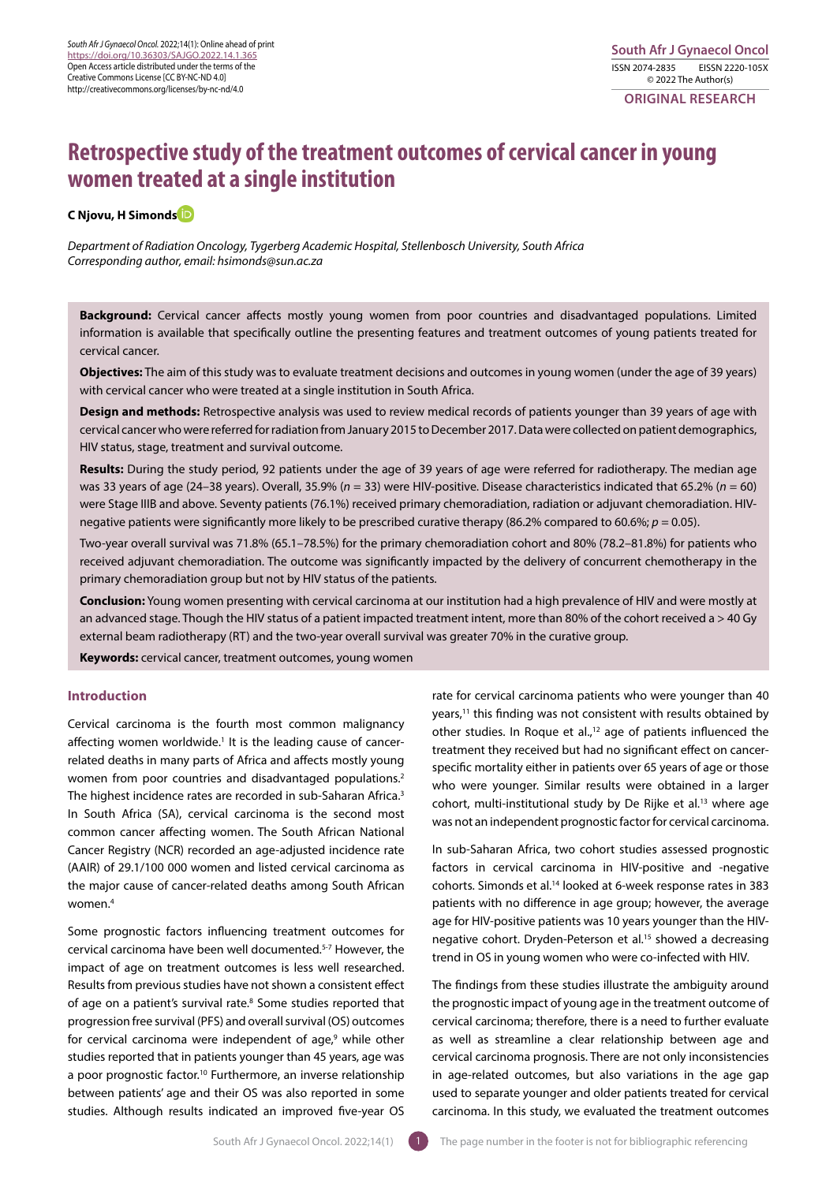**ORIGINAL RESEARCH** 

# **Retrospective study of the treatment outcomes of cervical cancer in young women treated at a single institution**

# **C Njovu, H Simond[s](https://orcid.org/0000-0002-4442-6068)**

*Department of Radiation Oncology, Tygerberg Academic Hospital, Stellenbosch University, South Africa Corresponding author, email: hsimonds@sun.ac.za*

**Background:** Cervical cancer affects mostly young women from poor countries and disadvantaged populations. Limited information is available that specifically outline the presenting features and treatment outcomes of young patients treated for cervical cancer.

**Objectives:** The aim of this study was to evaluate treatment decisions and outcomes in young women (under the age of 39 years) with cervical cancer who were treated at a single institution in South Africa.

**Design and methods:** Retrospective analysis was used to review medical records of patients younger than 39 years of age with cervical cancer who were referred for radiation from January 2015 to December 2017. Data were collected on patient demographics, HIV status, stage, treatment and survival outcome.

**Results:** During the study period, 92 patients under the age of 39 years of age were referred for radiotherapy. The median age was 33 years of age (24–38 years). Overall, 35.9% (*n* = 33) were HIV-positive. Disease characteristics indicated that 65.2% (*n* = 60) were Stage IIIB and above. Seventy patients (76.1%) received primary chemoradiation, radiation or adjuvant chemoradiation. HIVnegative patients were significantly more likely to be prescribed curative therapy (86.2% compared to 60.6%; *p* = 0.05).

Two-year overall survival was 71.8% (65.1–78.5%) for the primary chemoradiation cohort and 80% (78.2–81.8%) for patients who received adjuvant chemoradiation. The outcome was significantly impacted by the delivery of concurrent chemotherapy in the primary chemoradiation group but not by HIV status of the patients.

**Conclusion:** Young women presenting with cervical carcinoma at our institution had a high prevalence of HIV and were mostly at an advanced stage. Though the HIV status of a patient impacted treatment intent, more than 80% of the cohort received a > 40 Gy external beam radiotherapy (RT) and the two-year overall survival was greater 70% in the curative group.

**Keywords:** cervical cancer, treatment outcomes, young women

# **Introduction**

Cervical carcinoma is the fourth most common malignancy affecting women worldwide.<sup>1</sup> It is the leading cause of cancerrelated deaths in many parts of Africa and affects mostly young women from poor countries and disadvantaged populations.2 The highest incidence rates are recorded in sub-Saharan Africa.<sup>3</sup> In South Africa (SA), cervical carcinoma is the second most common cancer affecting women. The South African National Cancer Registry (NCR) recorded an age-adjusted incidence rate (AAIR) of 29.1/100 000 women and listed cervical carcinoma as the major cause of cancer-related deaths among South African women.4

Some prognostic factors influencing treatment outcomes for cervical carcinoma have been well documented.5-7 However, the impact of age on treatment outcomes is less well researched. Results from previous studies have not shown a consistent effect of age on a patient's survival rate.8 Some studies reported that progression free survival (PFS) and overall survival (OS) outcomes for cervical carcinoma were independent of age,<sup>9</sup> while other studies reported that in patients younger than 45 years, age was a poor prognostic factor.<sup>10</sup> Furthermore, an inverse relationship between patients' age and their OS was also reported in some studies. Although results indicated an improved five-year OS

rate for cervical carcinoma patients who were younger than 40 years,<sup>11</sup> this finding was not consistent with results obtained by other studies. In Roque et al.,<sup>12</sup> age of patients influenced the treatment they received but had no significant effect on cancerspecific mortality either in patients over 65 years of age or those who were younger. Similar results were obtained in a larger cohort, multi-institutional study by De Rijke et al.<sup>13</sup> where age was not an independent prognostic factor for cervical carcinoma.

In sub-Saharan Africa, two cohort studies assessed prognostic factors in cervical carcinoma in HIV-positive and -negative cohorts. Simonds et al.14 looked at 6-week response rates in 383 patients with no difference in age group; however, the average age for HIV-positive patients was 10 years younger than the HIVnegative cohort. Dryden-Peterson et al.<sup>15</sup> showed a decreasing trend in OS in young women who were co-infected with HIV.

The findings from these studies illustrate the ambiguity around the prognostic impact of young age in the treatment outcome of cervical carcinoma; therefore, there is a need to further evaluate as well as streamline a clear relationship between age and cervical carcinoma prognosis. There are not only inconsistencies in age-related outcomes, but also variations in the age gap used to separate younger and older patients treated for cervical carcinoma. In this study, we evaluated the treatment outcomes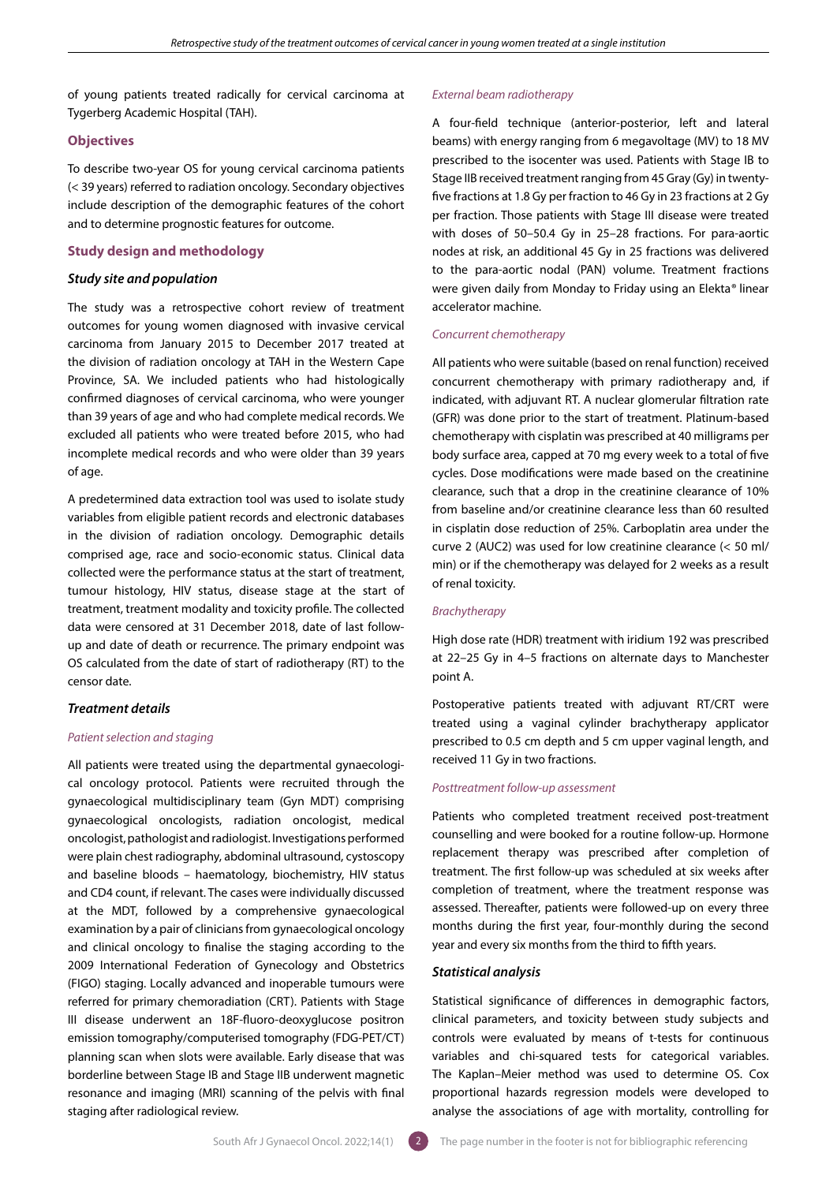of young patients treated radically for cervical carcinoma at Tygerberg Academic Hospital (TAH).

# **Objectives**

To describe two-year OS for young cervical carcinoma patients (< 39 years) referred to radiation oncology. Secondary objectives include description of the demographic features of the cohort and to determine prognostic features for outcome.

## **Study design and methodology**

## *Study site and population*

The study was a retrospective cohort review of treatment outcomes for young women diagnosed with invasive cervical carcinoma from January 2015 to December 2017 treated at the division of radiation oncology at TAH in the Western Cape Province, SA. We included patients who had histologically confirmed diagnoses of cervical carcinoma, who were younger than 39 years of age and who had complete medical records. We excluded all patients who were treated before 2015, who had incomplete medical records and who were older than 39 years of age.

A predetermined data extraction tool was used to isolate study variables from eligible patient records and electronic databases in the division of radiation oncology. Demographic details comprised age, race and socio-economic status. Clinical data collected were the performance status at the start of treatment, tumour histology, HIV status, disease stage at the start of treatment, treatment modality and toxicity profile. The collected data were censored at 31 December 2018, date of last followup and date of death or recurrence. The primary endpoint was OS calculated from the date of start of radiotherapy (RT) to the censor date.

# *Treatment details*

## *Patient selection and staging*

All patients were treated using the departmental gynaecological oncology protocol. Patients were recruited through the gynaecological multidisciplinary team (Gyn MDT) comprising gynaecological oncologists, radiation oncologist, medical oncologist, pathologist and radiologist. Investigations performed were plain chest radiography, abdominal ultrasound, cystoscopy and baseline bloods – haematology, biochemistry, HIV status and CD4 count, if relevant. The cases were individually discussed at the MDT, followed by a comprehensive gynaecological examination by a pair of clinicians from gynaecological oncology and clinical oncology to finalise the staging according to the 2009 International Federation of Gynecology and Obstetrics (FIGO) staging. Locally advanced and inoperable tumours were referred for primary chemoradiation (CRT). Patients with Stage III disease underwent an 18F-fluoro-deoxyglucose positron emission tomography/computerised tomography (FDG-PET/CT) planning scan when slots were available. Early disease that was borderline between Stage IB and Stage IIB underwent magnetic resonance and imaging (MRI) scanning of the pelvis with final staging after radiological review.

## *External beam radiotherapy*

A four-field technique (anterior-posterior, left and lateral beams) with energy ranging from 6 megavoltage (MV) to 18 MV prescribed to the isocenter was used. Patients with Stage IB to Stage IIB received treatment ranging from 45 Gray (Gy) in twentyfive fractions at 1.8 Gy per fraction to 46 Gy in 23 fractions at 2 Gy per fraction. Those patients with Stage III disease were treated with doses of 50–50.4 Gy in 25–28 fractions. For para-aortic nodes at risk, an additional 45 Gy in 25 fractions was delivered to the para-aortic nodal (PAN) volume. Treatment fractions were given daily from Monday to Friday using an Elekta*®* linear accelerator machine.

# *Concurrent chemotherapy*

All patients who were suitable (based on renal function) received concurrent chemotherapy with primary radiotherapy and, if indicated, with adjuvant RT. A nuclear glomerular filtration rate (GFR) was done prior to the start of treatment. Platinum-based chemotherapy with cisplatin was prescribed at 40 milligrams per body surface area, capped at 70 mg every week to a total of five cycles. Dose modifications were made based on the creatinine clearance, such that a drop in the creatinine clearance of 10% from baseline and/or creatinine clearance less than 60 resulted in cisplatin dose reduction of 25%. Carboplatin area under the curve 2 (AUC2) was used for low creatinine clearance (< 50 ml/ min) or if the chemotherapy was delayed for 2 weeks as a result of renal toxicity.

# *Brachytherapy*

High dose rate (HDR) treatment with iridium 192 was prescribed at 22–25 Gy in 4–5 fractions on alternate days to Manchester point A.

Postoperative patients treated with adjuvant RT/CRT were treated using a vaginal cylinder brachytherapy applicator prescribed to 0.5 cm depth and 5 cm upper vaginal length, and received 11 Gy in two fractions.

## *Posttreatment follow-up assessment*

Patients who completed treatment received post-treatment counselling and were booked for a routine follow-up. Hormone replacement therapy was prescribed after completion of treatment. The first follow-up was scheduled at six weeks after completion of treatment, where the treatment response was assessed. Thereafter, patients were followed-up on every three months during the first year, four-monthly during the second year and every six months from the third to fifth years.

## *Statistical analysis*

Statistical significance of differences in demographic factors, clinical parameters, and toxicity between study subjects and controls were evaluated by means of t-tests for continuous variables and chi-squared tests for categorical variables. The Kaplan–Meier method was used to determine OS. Cox proportional hazards regression models were developed to analyse the associations of age with mortality, controlling for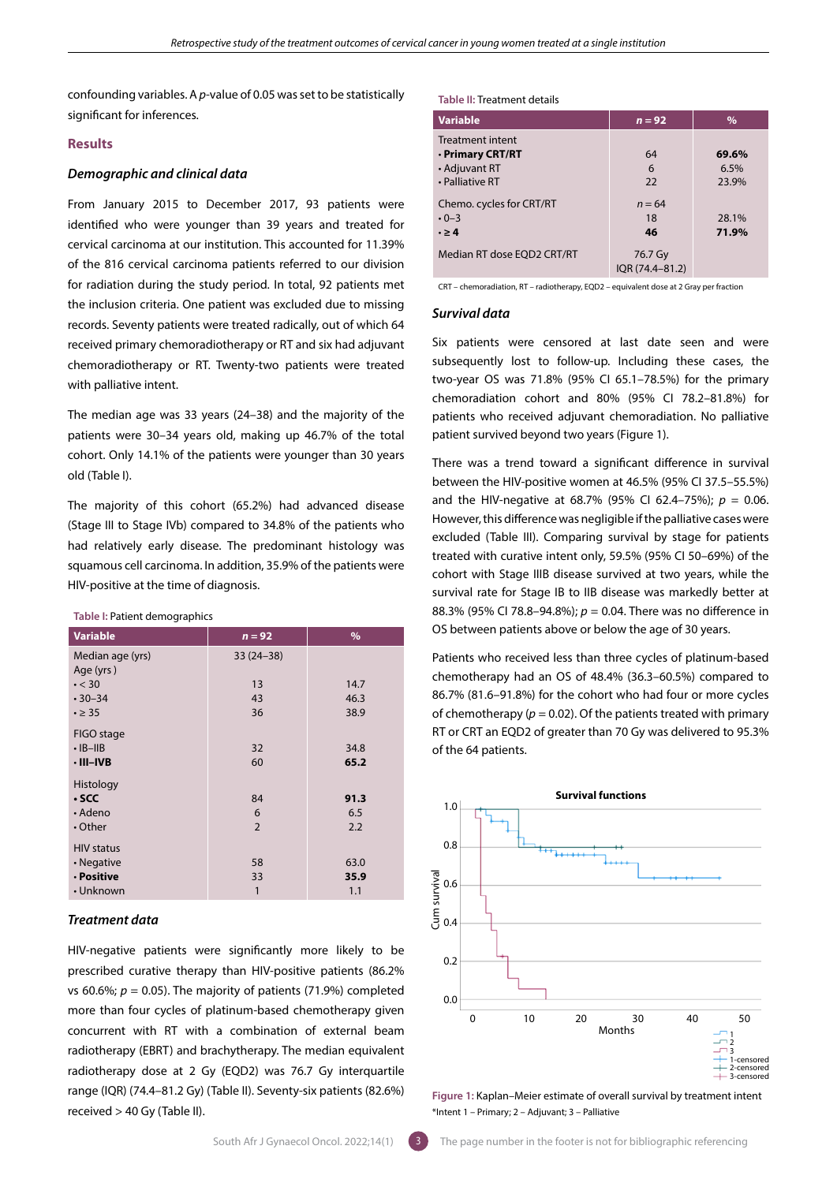confounding variables. A *p*-value of 0.05 was set to be statistically significant for inferences.

# **Results**

## *Demographic and clinical data*

From January 2015 to December 2017, 93 patients were identified who were younger than 39 years and treated for cervical carcinoma at our institution. This accounted for 11.39% of the 816 cervical carcinoma patients referred to our division for radiation during the study period. In total, 92 patients met the inclusion criteria. One patient was excluded due to missing records. Seventy patients were treated radically, out of which 64 received primary chemoradiotherapy or RT and six had adjuvant chemoradiotherapy or RT. Twenty-two patients were treated with palliative intent.

The median age was 33 years (24–38) and the majority of the patients were 30–34 years old, making up 46.7% of the total cohort. Only 14.1% of the patients were younger than 30 years old (Table I).

The majority of this cohort (65.2%) had advanced disease (Stage III to Stage IVb) compared to 34.8% of the patients who had relatively early disease. The predominant histology was squamous cell carcinoma. In addition, 35.9% of the patients were HIV-positive at the time of diagnosis.

#### **Table I:** Patient demographics

| <b>Variable</b>   | $n = 92$       | $\%$ |
|-------------------|----------------|------|
| Median age (yrs)  | $33(24-38)$    |      |
| Age (yrs)         |                |      |
| $\cdot$ < 30      | 13             | 14.7 |
| $.30 - 34$        | 43             | 46.3 |
| $\cdot \geq 35$   | 36             | 38.9 |
|                   |                |      |
| FIGO stage        |                |      |
| $·$ IB-IIB        | 32             | 34.8 |
| $\cdot$ III-IVB   | 60             | 65.2 |
|                   |                |      |
| Histology         |                |      |
| $\cdot$ SCC       | 84             | 91.3 |
| $\cdot$ Adeno     | 6              | 6.5  |
| $\cdot$ Other     | $\overline{2}$ | 2.2  |
| <b>HIV status</b> |                |      |
|                   |                |      |
| • Negative        | 58             | 63.0 |
| · Positive        | 33             | 35.9 |
| • Unknown         | 1              | 1.1  |

## *Treatment data*

HIV-negative patients were significantly more likely to be prescribed curative therapy than HIV-positive patients (86.2% vs 60.6%;  $p = 0.05$ ). The majority of patients (71.9%) completed more than four cycles of platinum-based chemotherapy given concurrent with RT with a combination of external beam radiotherapy (EBRT) and brachytherapy. The median equivalent radiotherapy dose at 2 Gy (EQD2) was 76.7 Gy interquartile range (IQR) (74.4–81.2 Gy) (Table II). Seventy-six patients (82.6%) received > 40 Gy (Table II).

#### **Table II:** Treatment details

| <b>Variable</b>            | $n = 92$        | $\%$  |
|----------------------------|-----------------|-------|
| <b>Treatment intent</b>    |                 |       |
| · Primary CRT/RT           | 64              | 69.6% |
| • Adjuvant RT              | 6               | 6.5%  |
| • Palliative RT            | 22              | 23.9% |
| Chemo. cycles for CRT/RT   | $n = 64$        |       |
| $\cdot$ 0-3                | 18              | 28.1% |
| $\cdot \geq 4$             | 46              | 71.9% |
| Median RT dose EOD2 CRT/RT | 76.7 Gy         |       |
|                            | IOR (74.4-81.2) |       |

CRT – chemoradiation, RT – radiotherapy, EQD2 – equivalent dose at 2 Gray per fraction

# *Survival data*

Six patients were censored at last date seen and were subsequently lost to follow-up. Including these cases, the two-year OS was 71.8% (95% CI 65.1–78.5%) for the primary chemoradiation cohort and 80% (95% CI 78.2–81.8%) for patients who received adjuvant chemoradiation. No palliative patient survived beyond two years (Figure 1).

There was a trend toward a significant difference in survival between the HIV-positive women at 46.5% (95% CI 37.5–55.5%) and the HIV-negative at 68.7% (95% CI 62.4–75%); *p* = 0.06. However, this difference was negligible if the palliative cases were excluded (Table III). Comparing survival by stage for patients treated with curative intent only, 59.5% (95% CI 50–69%) of the cohort with Stage IIIB disease survived at two years, while the survival rate for Stage IB to IIB disease was markedly better at 88.3% (95% CI 78.8–94.8%); *p* = 0.04. There was no difference in OS between patients above or below the age of 30 years.

Patients who received less than three cycles of platinum-based chemotherapy had an OS of 48.4% (36.3–60.5%) compared to 86.7% (81.6–91.8%) for the cohort who had four or more cycles of chemotherapy ( $p = 0.02$ ). Of the patients treated with primary RT or CRT an EQD2 of greater than 70 Gy was delivered to 95.3% of the 64 patients.



**Figure 1:** Kaplan–Meier estimate of overall survival by treatment intent \*Intent 1 – Primary; 2 – Adjuvant; 3 – Palliative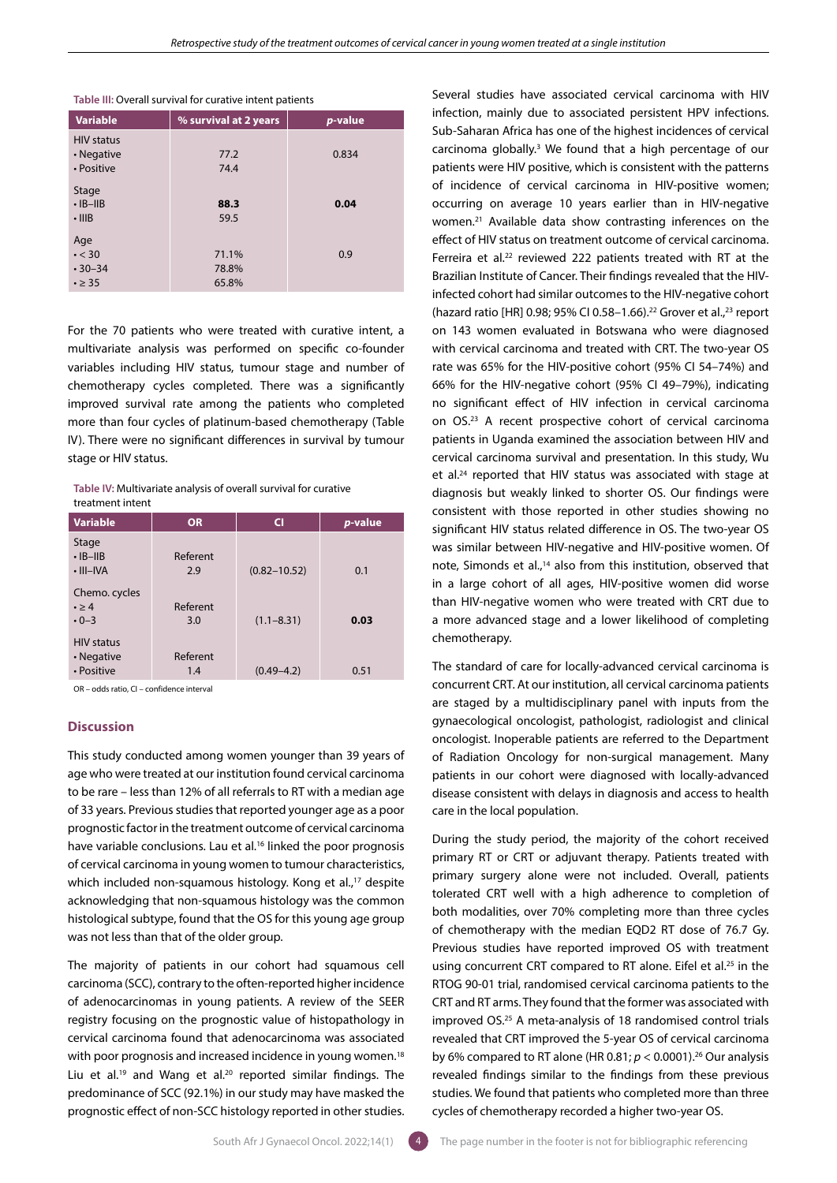| <b>Variable</b>   | % survival at 2 years | p-value |
|-------------------|-----------------------|---------|
| <b>HIV status</b> |                       |         |
| • Negative        | 77.2                  | 0.834   |
| • Positive        | 74.4                  |         |
| Stage             |                       |         |
| $\cdot$ IB-IIB    | 88.3                  | 0.04    |
| $\cdot$ IIIB      | 59.5                  |         |
| Age               |                       |         |
| $\cdot$ < 30      | 71.1%                 | 0.9     |
| $.30 - 34$        | 78.8%                 |         |
| $\cdot \geq 35$   | 65.8%                 |         |

## **Table III:** Overall survival for curative intent patients

For the 70 patients who were treated with curative intent, a multivariate analysis was performed on specific co-founder variables including HIV status, tumour stage and number of chemotherapy cycles completed. There was a significantly improved survival rate among the patients who completed more than four cycles of platinum-based chemotherapy (Table IV). There were no significant differences in survival by tumour stage or HIV status.

**Table IV:** Multivariate analysis of overall survival for curative treatment intent

| <b>Variable</b>                                | <b>OR</b>       | <b>CI</b>        | <i>p</i> -value |
|------------------------------------------------|-----------------|------------------|-----------------|
| Stage<br>$\cdot$ IB-IIB<br>$\cdot$ III-IVA     | Referent<br>2.9 | $(0.82 - 10.52)$ | 0.1             |
| Chemo. cycles<br>$\cdot \geq 4$<br>$\cdot$ 0-3 | Referent<br>3.0 | $(1.1 - 8.31)$   | 0.03            |
| <b>HIV status</b><br>• Negative<br>• Positive  | Referent<br>1.4 | $(0.49 - 4.2)$   | 0.51            |

OR – odds ratio, CI – confidence interval

## **Discussion**

This study conducted among women younger than 39 years of age who were treated at our institution found cervical carcinoma to be rare – less than 12% of all referrals to RT with a median age of 33 years. Previous studies that reported younger age as a poor prognostic factor in the treatment outcome of cervical carcinoma have variable conclusions. Lau et al.<sup>16</sup> linked the poor prognosis of cervical carcinoma in young women to tumour characteristics, which included non-squamous histology. Kong et al.,<sup>17</sup> despite acknowledging that non-squamous histology was the common histological subtype, found that the OS for this young age group was not less than that of the older group.

The majority of patients in our cohort had squamous cell carcinoma (SCC), contrary to the often-reported higher incidence of adenocarcinomas in young patients. A review of the SEER registry focusing on the prognostic value of histopathology in cervical carcinoma found that adenocarcinoma was associated with poor prognosis and increased incidence in young women.<sup>18</sup> Liu et al.<sup>19</sup> and Wang et al.<sup>20</sup> reported similar findings. The predominance of SCC (92.1%) in our study may have masked the prognostic effect of non-SCC histology reported in other studies.

Several studies have associated cervical carcinoma with HIV infection, mainly due to associated persistent HPV infections. Sub-Saharan Africa has one of the highest incidences of cervical carcinoma globally.3 We found that a high percentage of our patients were HIV positive, which is consistent with the patterns of incidence of cervical carcinoma in HIV-positive women; occurring on average 10 years earlier than in HIV-negative women.21 Available data show contrasting inferences on the effect of HIV status on treatment outcome of cervical carcinoma. Ferreira et al.<sup>22</sup> reviewed 222 patients treated with RT at the Brazilian Institute of Cancer. Their findings revealed that the HIVinfected cohort had similar outcomes to the HIV-negative cohort (hazard ratio [HR] 0.98; 95% CI 0.58-1.66).<sup>22</sup> Grover et al.,<sup>23</sup> report on 143 women evaluated in Botswana who were diagnosed with cervical carcinoma and treated with CRT. The two-year OS rate was 65% for the HIV-positive cohort (95% CI 54–74%) and 66% for the HIV-negative cohort (95% CI 49–79%), indicating no significant effect of HIV infection in cervical carcinoma on OS.23 A recent prospective cohort of cervical carcinoma patients in Uganda examined the association between HIV and cervical carcinoma survival and presentation. In this study, Wu et al.<sup>24</sup> reported that HIV status was associated with stage at diagnosis but weakly linked to shorter OS. Our findings were consistent with those reported in other studies showing no significant HIV status related difference in OS. The two-year OS was similar between HIV-negative and HIV-positive women. Of note, Simonds et al.,<sup>14</sup> also from this institution, observed that in a large cohort of all ages, HIV-positive women did worse than HIV-negative women who were treated with CRT due to a more advanced stage and a lower likelihood of completing chemotherapy.

The standard of care for locally-advanced cervical carcinoma is concurrent CRT. At our institution, all cervical carcinoma patients are staged by a multidisciplinary panel with inputs from the gynaecological oncologist, pathologist, radiologist and clinical oncologist. Inoperable patients are referred to the Department of Radiation Oncology for non-surgical management. Many patients in our cohort were diagnosed with locally-advanced disease consistent with delays in diagnosis and access to health care in the local population.

During the study period, the majority of the cohort received primary RT or CRT or adjuvant therapy. Patients treated with primary surgery alone were not included. Overall, patients tolerated CRT well with a high adherence to completion of both modalities, over 70% completing more than three cycles of chemotherapy with the median EQD2 RT dose of 76.7 Gy. Previous studies have reported improved OS with treatment using concurrent CRT compared to RT alone. Eifel et al.<sup>25</sup> in the RTOG 90-01 trial, randomised cervical carcinoma patients to the CRT and RT arms. They found that the former was associated with improved OS.25 A meta-analysis of 18 randomised control trials revealed that CRT improved the 5-year OS of cervical carcinoma by 6% compared to RT alone (HR 0.81; *p* < 0.0001).26 Our analysis revealed findings similar to the findings from these previous studies. We found that patients who completed more than three cycles of chemotherapy recorded a higher two-year OS.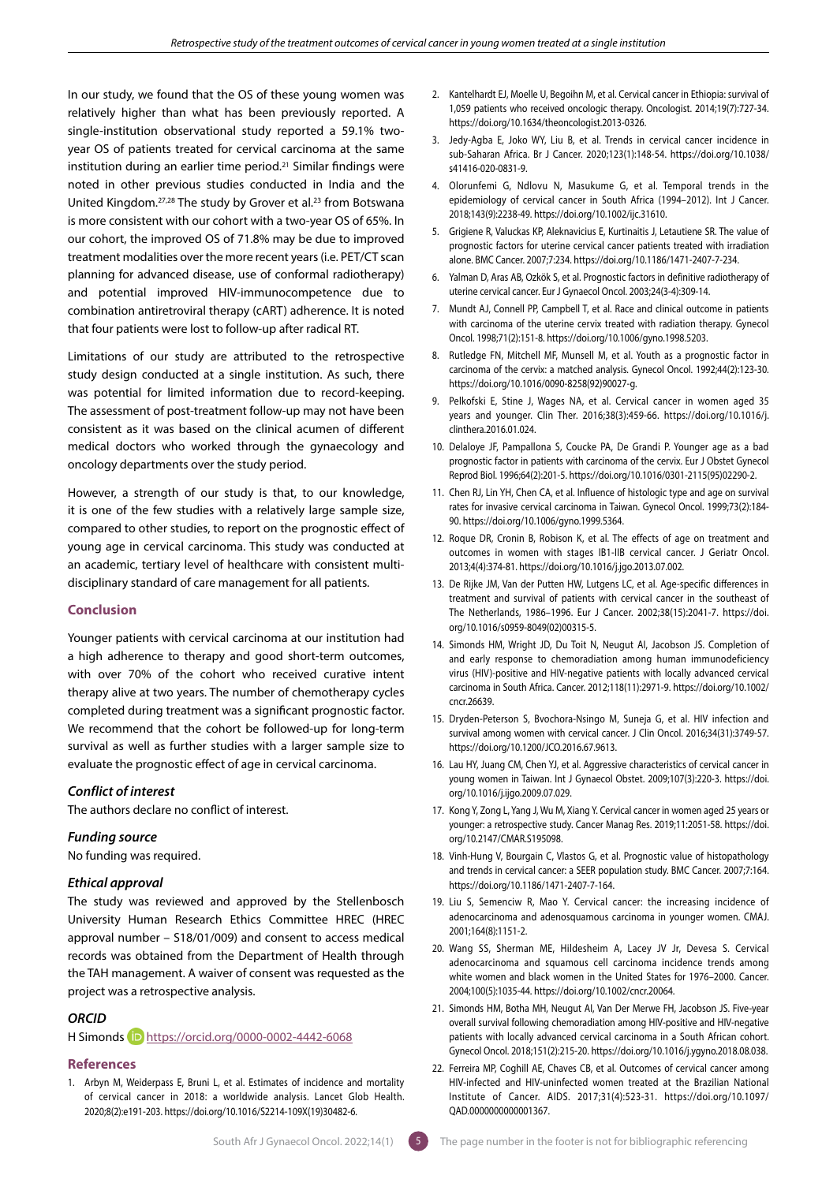In our study, we found that the OS of these young women was relatively higher than what has been previously reported. A single-institution observational study reported a 59.1% twoyear OS of patients treated for cervical carcinoma at the same institution during an earlier time period.21 Similar findings were noted in other previous studies conducted in India and the United Kingdom.<sup>27,28</sup> The study by Grover et al.<sup>23</sup> from Botswana is more consistent with our cohort with a two-year OS of 65%. In our cohort, the improved OS of 71.8% may be due to improved treatment modalities over the more recent years (i.e. PET/CT scan planning for advanced disease, use of conformal radiotherapy) and potential improved HIV-immunocompetence due to combination antiretroviral therapy (cART) adherence. It is noted that four patients were lost to follow-up after radical RT.

Limitations of our study are attributed to the retrospective study design conducted at a single institution. As such, there was potential for limited information due to record-keeping. The assessment of post-treatment follow-up may not have been consistent as it was based on the clinical acumen of different medical doctors who worked through the gynaecology and oncology departments over the study period.

However, a strength of our study is that, to our knowledge, it is one of the few studies with a relatively large sample size, compared to other studies, to report on the prognostic effect of young age in cervical carcinoma. This study was conducted at an academic, tertiary level of healthcare with consistent multidisciplinary standard of care management for all patients.

## **Conclusion**

Younger patients with cervical carcinoma at our institution had a high adherence to therapy and good short-term outcomes, with over 70% of the cohort who received curative intent therapy alive at two years. The number of chemotherapy cycles completed during treatment was a significant prognostic factor. We recommend that the cohort be followed-up for long-term survival as well as further studies with a larger sample size to evaluate the prognostic effect of age in cervical carcinoma.

## *Conflict of interest*

The authors declare no conflict of interest.

# *Funding source*

No funding was required.

## *Ethical approval*

The study was reviewed and approved by the Stellenbosch University Human Research Ethics Committee HREC (HREC approval number – S18/01/009) and consent to access medical records was obtained from the Department of Health through the TAH management. A waiver of consent was requested as the project was a retrospective analysis.

## *ORCID*

# H Simonds **D** <https://orcid.org/0000-0002-4442-6068>

### **References**

1. Arbyn M, Weiderpass E, Bruni L, et al. Estimates of incidence and mortality of cervical cancer in 2018: a worldwide analysis. Lancet Glob Health. 2020;8(2):e191-203. https://doi.org/10.1016/S2214-109X(19)30482-6.

- 2. Kantelhardt EJ, Moelle U, Begoihn M, et al. Cervical cancer in Ethiopia: survival of 1,059 patients who received oncologic therapy. Oncologist. 2014;19(7):727-34. https://doi.org/10.1634/theoncologist.2013-0326.
- 3. Jedy-Agba E, Joko WY, Liu B, et al. Trends in cervical cancer incidence in sub-Saharan Africa. Br J Cancer. 2020;123(1):148-54. https://doi.org/10.1038/ s41416-020-0831-9.
- 4. Olorunfemi G, Ndlovu N, Masukume G, et al. Temporal trends in the epidemiology of cervical cancer in South Africa (1994–2012). Int J Cancer. 2018;143(9):2238-49. https://doi.org/10.1002/ijc.31610.
- 5. Grigiene R, Valuckas KP, Aleknavicius E, Kurtinaitis J, Letautiene SR. The value of prognostic factors for uterine cervical cancer patients treated with irradiation alone. BMC Cancer. 2007;7:234. https://doi.org/10.1186/1471-2407-7-234.
- 6. Yalman D, Aras AB, Ozkök S, et al. Prognostic factors in definitive radiotherapy of uterine cervical cancer. Eur J Gynaecol Oncol. 2003;24(3-4):309-14.
- 7. Mundt AJ, Connell PP, Campbell T, et al. Race and clinical outcome in patients with carcinoma of the uterine cervix treated with radiation therapy. Gynecol Oncol. 1998;71(2):151-8. https://doi.org/10.1006/gyno.1998.5203.
- 8. Rutledge FN, Mitchell MF, Munsell M, et al. Youth as a prognostic factor in carcinoma of the cervix: a matched analysis. Gynecol Oncol. 1992;44(2):123-30. https://doi.org/10.1016/0090-8258(92)90027-g.
- 9. Pelkofski E, Stine J, Wages NA, et al. Cervical cancer in women aged 35 years and younger. Clin Ther. 2016;38(3):459-66. https://doi.org/10.1016/j. clinthera.2016.01.024.
- 10. Delaloye JF, Pampallona S, Coucke PA, De Grandi P. Younger age as a bad prognostic factor in patients with carcinoma of the cervix. Eur J Obstet Gynecol Reprod Biol. 1996;64(2):201-5. https://doi.org/10.1016/0301-2115(95)02290-2.
- 11. Chen RJ, Lin YH, Chen CA, et al. Influence of histologic type and age on survival rates for invasive cervical carcinoma in Taiwan. Gynecol Oncol. 1999;73(2):184- 90. https://doi.org/10.1006/gyno.1999.5364.
- 12. Roque DR, Cronin B, Robison K, et al. The effects of age on treatment and outcomes in women with stages IB1-IIB cervical cancer. J Geriatr Oncol. 2013;4(4):374-81. https://doi.org/10.1016/j.jgo.2013.07.002.
- 13. De Rijke JM, Van der Putten HW, Lutgens LC, et al. Age-specific differences in treatment and survival of patients with cervical cancer in the southeast of The Netherlands, 1986–1996. Eur J Cancer. 2002;38(15):2041-7. https://doi. org/10.1016/s0959-8049(02)00315-5.
- 14. Simonds HM, Wright JD, Du Toit N, Neugut AI, Jacobson JS. Completion of and early response to chemoradiation among human immunodeficiency virus (HIV)-positive and HIV-negative patients with locally advanced cervical carcinoma in South Africa. Cancer. 2012;118(11):2971-9. https://doi.org/10.1002/ cncr.26639.
- 15. Dryden-Peterson S, Bvochora-Nsingo M, Suneja G, et al. HIV infection and survival among women with cervical cancer. J Clin Oncol. 2016;34(31):3749-57. https://doi.org/10.1200/JCO.2016.67.9613.
- 16. Lau HY, Juang CM, Chen YJ, et al. Aggressive characteristics of cervical cancer in young women in Taiwan. Int J Gynaecol Obstet. 2009;107(3):220-3. https://doi. org/10.1016/j.ijgo.2009.07.029.
- 17. Kong Y, Zong L, Yang J, Wu M, Xiang Y. Cervical cancer in women aged 25 years or younger: a retrospective study. Cancer Manag Res. 2019;11:2051-58. https://doi. org/10.2147/CMAR.S195098.
- 18. Vinh-Hung V, Bourgain C, Vlastos G, et al. Prognostic value of histopathology and trends in cervical cancer: a SEER population study. BMC Cancer. 2007;7:164. https://doi.org/10.1186/1471-2407-7-164.
- 19. Liu S, Semenciw R, Mao Y. Cervical cancer: the increasing incidence of adenocarcinoma and adenosquamous carcinoma in younger women. CMAJ. 2001;164(8):1151-2.
- 20. Wang SS, Sherman ME, Hildesheim A, Lacey JV Jr, Devesa S. Cervical adenocarcinoma and squamous cell carcinoma incidence trends among white women and black women in the United States for 1976–2000. Cancer. 2004;100(5):1035-44. https://doi.org/10.1002/cncr.20064.
- 21. Simonds HM, Botha MH, Neugut AI, Van Der Merwe FH, Jacobson JS. Five-year overall survival following chemoradiation among HIV-positive and HIV-negative patients with locally advanced cervical carcinoma in a South African cohort. Gynecol Oncol. 2018;151(2):215-20. https://doi.org/10.1016/j.ygyno.2018.08.038.
- 22. Ferreira MP, Coghill AE, Chaves CB, et al. Outcomes of cervical cancer among HIV-infected and HIV-uninfected women treated at the Brazilian National Institute of Cancer. AIDS. 2017;31(4):523-31. https://doi.org/10.1097/ QAD.0000000000001367.